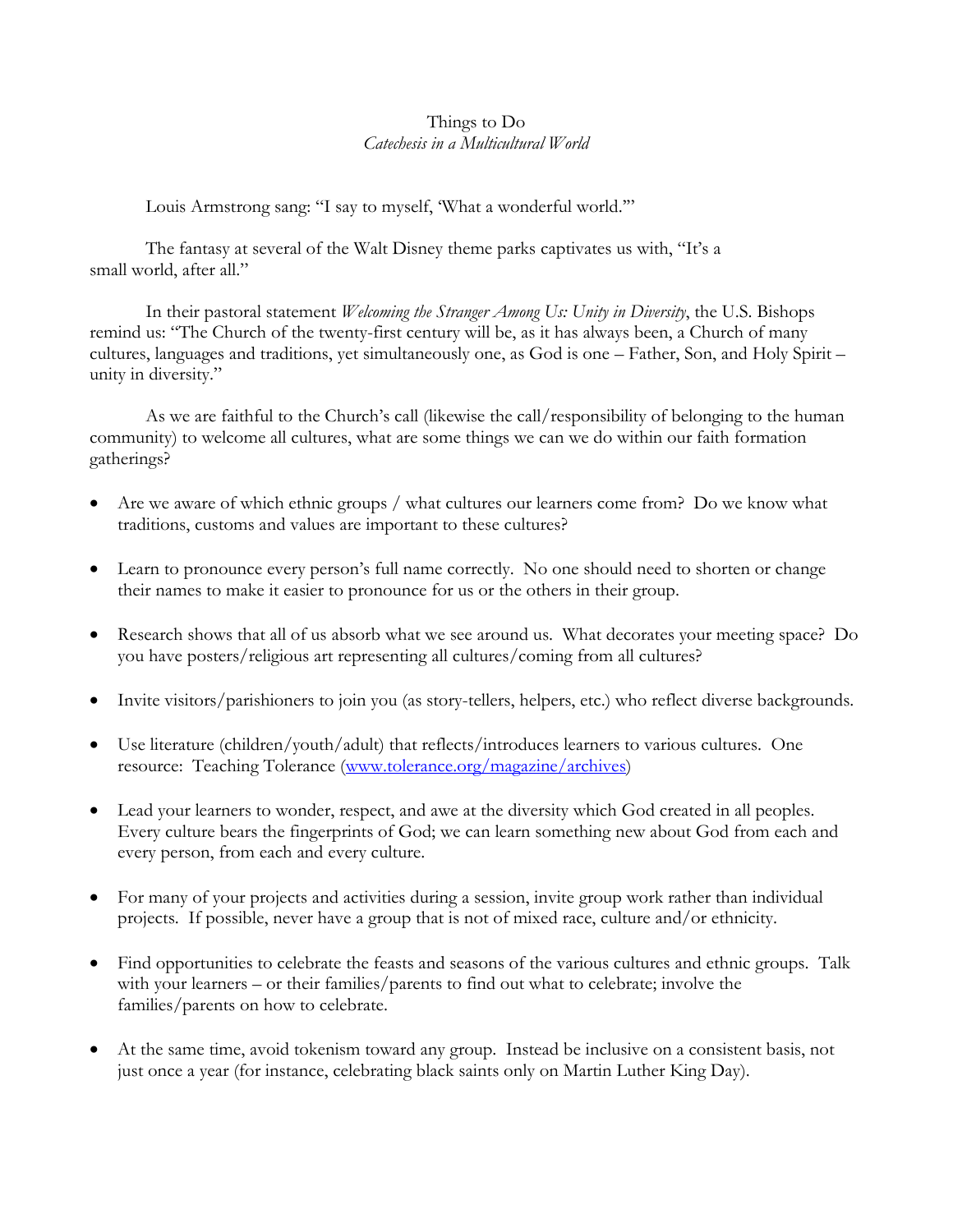## Things to Do *Catechesis in a Multicultural World*

Louis Armstrong sang: "I say to myself, 'What a wonderful world.'"

The fantasy at several of the Walt Disney theme parks captivates us with, "It's a small world, after all."

In their pastoral statement *Welcoming the Stranger Among Us: Unity in Diversity*, the U.S. Bishops remind us: "The Church of the twenty-first century will be, as it has always been, a Church of many cultures, languages and traditions, yet simultaneously one, as God is one – Father, Son, and Holy Spirit – unity in diversity."

As we are faithful to the Church's call (likewise the call/responsibility of belonging to the human community) to welcome all cultures, what are some things we can we do within our faith formation gatherings?

- Are we aware of which ethnic groups / what cultures our learners come from? Do we know what traditions, customs and values are important to these cultures?
- Learn to pronounce every person's full name correctly. No one should need to shorten or change their names to make it easier to pronounce for us or the others in their group.
- Research shows that all of us absorb what we see around us. What decorates your meeting space? Do you have posters/religious art representing all cultures/coming from all cultures?
- Invite visitors/parishioners to join you (as story-tellers, helpers, etc.) who reflect diverse backgrounds.
- Use literature (children/youth/adult) that reflects/introduces learners to various cultures. One resource: Teaching Tolerance [\(www.tolerance.org/magazine/archives\)](http://www.tolerance.org/magazine/archives)
- Lead your learners to wonder, respect, and awe at the diversity which God created in all peoples. Every culture bears the fingerprints of God; we can learn something new about God from each and every person, from each and every culture.
- For many of your projects and activities during a session, invite group work rather than individual projects. If possible, never have a group that is not of mixed race, culture and/or ethnicity.
- Find opportunities to celebrate the feasts and seasons of the various cultures and ethnic groups. Talk with your learners – or their families/parents to find out what to celebrate; involve the families/parents on how to celebrate.
- At the same time, avoid tokenism toward any group. Instead be inclusive on a consistent basis, not just once a year (for instance, celebrating black saints only on Martin Luther King Day).